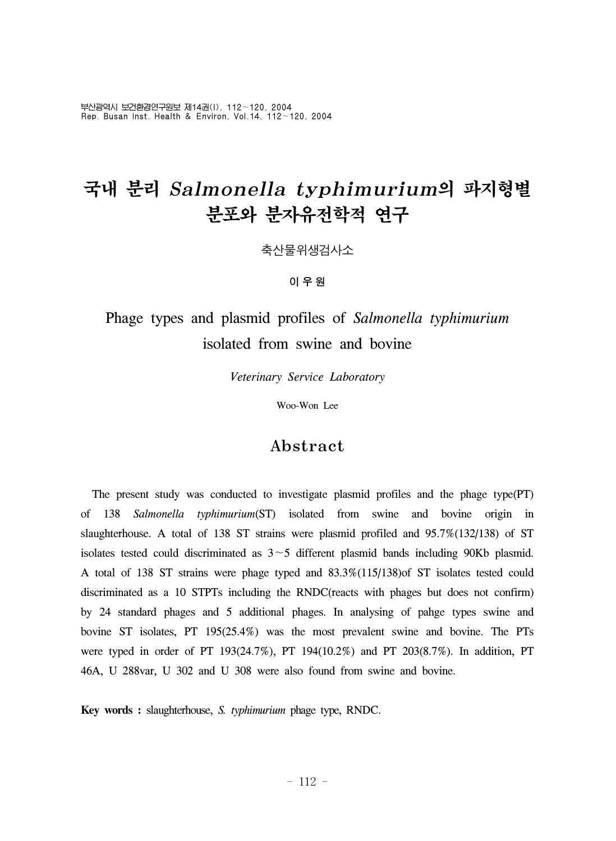부산광역시 보건환경연구원보 제14권(I), 112~120, 2004 Rep. Busan Inst. Health & Environ, Vol.14, 112~120, 2004

# 국내 분리 Salmonella typhimurium의 파지형별 분포와 분자유전학적 연구

축산물위생검사소

#### 이우원

## Phage types and plasmid profiles of *Salmonella typhimurium*  isolated from swine and bovine

*Veterinary Service Laboratory*

Woo-Won Lee

### Abstract

 The present study was conducted to investigate plasmid profiles and the phage type(PT) of 138 *Salmonella typhimurium*(ST) isolated from swine and bovine origin in slaughterhouse. A total of 138 ST strains were plasmid profiled and 95.7%(132/138) of ST isolates tested could discriminated as  $3 \sim 5$  different plasmid bands including 90Kb plasmid. A total of 138 ST strains were phage typed and 83.3%(115/138)of ST isolates tested could discriminated as a 10 STPTs including the RNDC(reacts with phages but does not confirm) by 24 standard phages and 5 additional phages. In analysing of pahge types swine and bovine ST isolates, PT 195(25.4%) was the most prevalent swine and bovine. The PTs were typed in order of PT 193(24.7%), PT 194(10.2%) and PT 203(8.7%). In addition, PT 46A, U 288var, U 302 and U 308 were also found from swine and bovine.

**Key words :** slaughterhouse, *S. typhimurium* phage type, RNDC.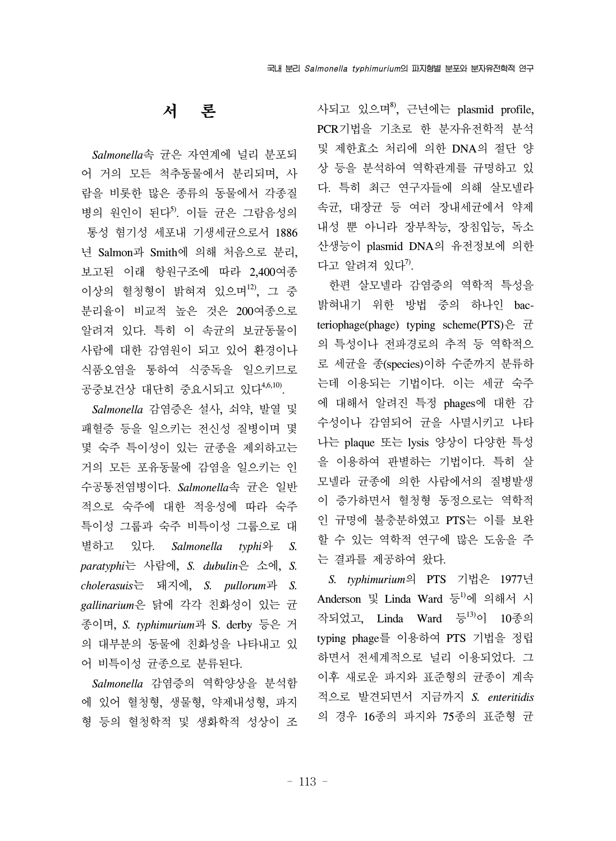서 론

 *Salmonella*속 균은 자연계에 널리 분포되 어 거의 모든 척추동물에서 분리되며, 사 람을 비롯한 많은 종류의 동물에서 각종질 병의 원인이 된다 $^5$ . 이들 균은 그람음성의 통성 혐기성 세포내 기생세균으로서 1886 년 Salmon과 Smith에 의해 처음으로 분리, 보고된 이래 항원구조에 따라 2,400여종 이상의 혈청형이 밝혀져 있으며 $^{12}$ , 그 중 분리율이 비교적 높은 것은 200여종으로 알려져 있다. 특히 이 속균의 보균동물이 사람에 대한 감염원이 되고 있어 환경이나 식품오염을 통하여 식중독을 일으키므로 공중보건상 대단히 중요시되고 있다<sup>4,6,10</sup>.

 *Salmonella* 감염증은 설사, 쇠약, 발열 및 패혈증 등을 일으키는 전신성 질병이며 몇 몇 숙주 특이성이 있는 균종을 제외하고는 거의 모든 포유동물에 감염을 일으키는 인 수공통전염병이다. *Salmonella*속 균은 일반 적으로 숙주에 대한 적응성에 따라 숙주 특이성 그룹과 숙주 비특이성 그룹으로 대 별하고 있다. *Salmonella typhi*와 *S. paratyphi*는 사람에, *S. dubulin*은 소에, *S. cholerasuis*는 돼지에, *S. pullorum*과 *S. gallinarium*은 닭에 각각 친화성이 있는 균 종이며, *S. typhimurium*과 S. derby 등은 거 의 대부분의 동물에 친화성을 나타내고 있 어 비특이성 균종으로 분류된다.

 *Salmonella* 감염증의 역학양상을 분석함 에 있어 혈청형, 생물형, 약제내성형, 파지 형 등의 혈청학적 및 생화학적 성상이 조 사되고 있으며8), 근년에는 plasmid profile, PCR기법을 기초로 한 분자유전학적 분석 및 제한효소 처리에 의한 DNA의 절단 양 상 등을 분석하여 역학관계를 규명하고 있 다. 특히 최근 연구자들에 의해 살모넬라 속균, 대장균 등 여러 장내세균에서 약제 내성 뿐 아니라 장부착능, 장침입능, 독소 산생능이 plasmid DNA의 유전정보에 의한 다고 알려져 있다 $7$ .

 한편 살모넬라 감염증의 역학적 특성을 밝혀내기 위한 방법 중의 하나인 bacteriophage(phage) typing scheme(PTS)은 균 의 특성이나 전파경로의 추적 등 역학적으 로 세균을 종(species)이하 수준까지 분류하 는데 이용되는 기법이다. 이는 세균 숙주 에 대해서 알려진 특정 phages에 대한 감 수성이나 감염되어 균을 사멸시키고 나타 나는 plaque 또는 lysis 양상이 다양한 특성 을 이용하여 판별하는 기법이다. 특히 살 모넬라 균종에 의한 사람에서의 질병발생 이 증가하면서 혈청형 동정으로는 역학적 인 규명에 불충분하였고 PTS는 이를 보완 할 수 있는 역학적 연구에 많은 도움을 주 는 결과를 제공하여 왔다.

 *S. typhimurium*의 PTS 기법은 1977년 Anderson 및 Linda Ward 등<sup>1)</sup>에 의해서 시 작되었고, Linda Ward 등<sup>13)</sup>이 10종의 typing phage를 이용하여 PTS 기법을 정립 하면서 전세계적으로 널리 이용되었다. 그 이후 새로운 파지와 표준형의 균종이 계속 적으로 발견되면서 지금까지 *S. enteritidis* 의 경우 16종의 파지와 75종의 표준형 균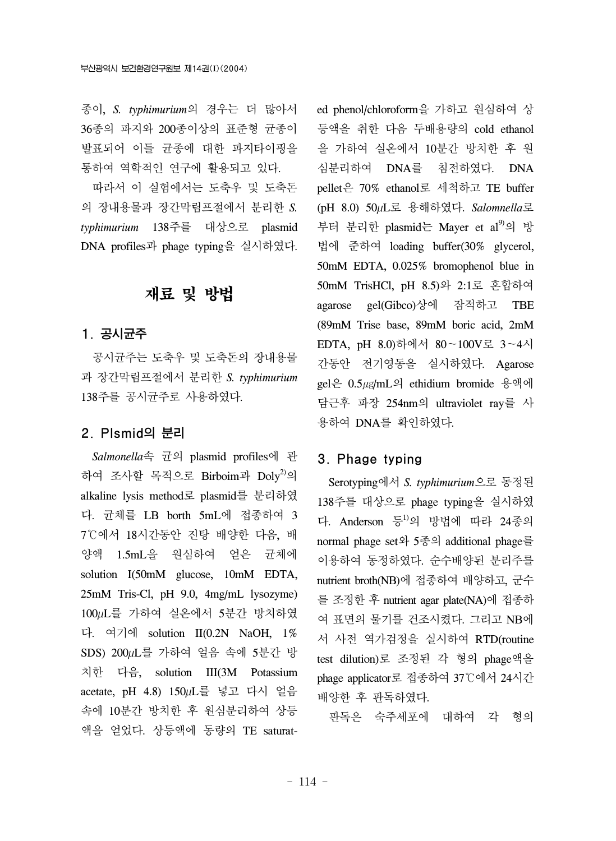종이, *S. typhimurium*의 경우는 더 많아서 36종의 파지와 200종이상의 표준형 균종이 발표되어 이들 균종에 대한 파지타이핑을 통하여 역학적인 연구에 활용되고 있다.

따라서 이 실험에서는 도축우 및 도축돈 의 장내용물과 장간막림프절에서 분리한 *S. typhimurium* 138주를 대상으로 plasmid DNA profiles과 phage typing을 실시하였다.

### 재료 및 방법

#### 1. 공시균주

 공시균주는 도축우 및 도축돈의 장내용물 과 장간막림프절에서 분리한 *S. typhimurium* 138주를 공시균주로 사용하였다.

#### 2. Plsmid의 분리

 *Salmonella*속 균의 plasmid profiles에 관 하여 조사할 목적으로 Birboim과 Doly<sup>2)</sup>의 alkaline lysis method로 plasmid를 분리하였 다. 균체를 LB borth 5mL에 접종하여 3 7℃에서 18시간동안 진탕 배양한 다음, 배 양액 1.5mL을 원심하여 얻은 균체에 solution I(50mM glucose, 10mM EDTA, 25mM Tris-Cl, pH 9.0, 4mg/mL lysozyme) 100µL를 가하여 실온에서 5분간 방치하였 다. 여기에 solution II(0.2N NaOH, 1% SDS) 200µL를 가하여 얼음 속에 5분간 방 치한 다음, solution III(3M Potassium acetate, pH 4.8) 150µL를 넣고 다시 얼음 속에 10분간 방치한 후 원심분리하여 상등 액을 얻었다. 상등액에 동량의 TE saturated phenol/chloroform을 가하고 원심하여 상 등액을 취한 다음 두배용량의 cold ethanol 을 가하여 실온에서 10분간 방치한 후 원 심분리하여 DNA를 침전하였다. DNA pellet은 70% ethanol로 세척하고 TE buffer (pH 8.0) 50µL로 용해하였다. *Salomnella*로 부터 분리한 plasmid는 Mayer et al<sup>9)</sup>의 방 법에 준하여 loading buffer(30% glycerol, 50mM EDTA, 0.025% bromophenol blue in 50mM TrisHCl, pH 8.5)와 2:1로 혼합하여 agarose gel(Gibco)상에 잠적하고 TBE (89mM Trise base, 89mM boric acid, 2mM EDTA, pH 8.0)하에서 80~100V로 3~4시 간동안 전기영동을 실시하였다. Agarose gel은 0.5㎍/mL의 ethidium bromide 용액에 담근후 파장 254nm의 ultraviolet ray를 사 용하여 DNA를 확인하였다.

#### 3. Phage typing

 Serotyping에서 *S. typhimurium*으로 동정된 138주를 대상으로 phage typing을 실시하였 다. Anderson 등 의 방법에 따라 24종의 normal phage set와 5종의 additional phage를 이용하여 동정하였다. 순수배양된 분리주를 nutrient broth(NB)에 접종하여 배양하고, 군수 를 조정한 후 nutrient agar plate(NA)에 접종하 여 표면의 물기를 건조시켰다. 그리고 NB에 서 사전 역가검정을 실시하여 RTD(routine test dilution)로 조정된 각 형의 phage액을 phage applicator로 접종하여 37℃에서 24시간 배양한 후 판독하였다.

판독은 숙주세포에 대하여 각 형의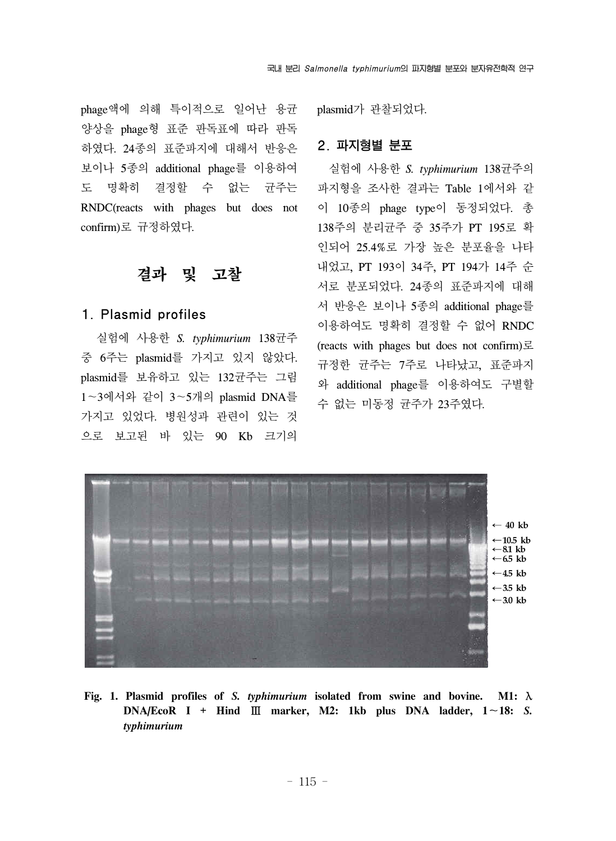phage액에 의해 특이적으로 일어난 용균 양상을 phage형 표준 판독표에 따라 판독 하였다. 24종의 표준파지에 대해서 반응은 보이나 5종의 additional phage를 이용하여 도 명확히 결정할 수 없는 균주는 RNDC(reacts with phages but does not confirm)로 규정하였다.

#### 결과 및 고찰

#### 1. Plasmid profiles

 실험에 사용한 *S. typhimurium* 138균주 중 6주는 plasmid를 가지고 있지 않았다. plasmid를 보유하고 있는 132균주는 그림 1~3에서와 같이 3~5개의 plasmid DNA를 가지고 있었다. 병원성과 관련이 있는 것 으로 보고된 바 있는 90 Kb 크기의 plasmid가 관찰되었다.

#### 2. 파지형별 분포

 실험에 사용한 *S. typhimurium* 138균주의 파지형을 조사한 결과는 Table 1에서와 같 이 10종의 phage type이 동정되었다. 총 138주의 분리균주 중 35주가 PT 195로 확 인되어 25.4%로 가장 높은 분포율을 나타 내었고, PT 193이 34주, PT 194가 14주 순 서로 분포되었다. 24종의 표준파지에 대해 서 반응은 보이나 5종의 additional phage를 이용하여도 명확히 결정할 수 없어 RNDC (reacts with phages but does not confirm)로 규정한 균주는 7주로 나타났고, 표준파지 와 additional phage를 이용하여도 구별할 수 없는 미동정 균주가 23주였다.



**Fig. 1. Plasmid profiles of** *S. typhimurium* **isolated from swine and bovine. M1:** λ **DNA/EcoR**  $I + H$ **ind**  $\Box$  **marker**, **M2:** 1kb plus DNA ladder,  $1 \sim 18$ : *S. typhimurium*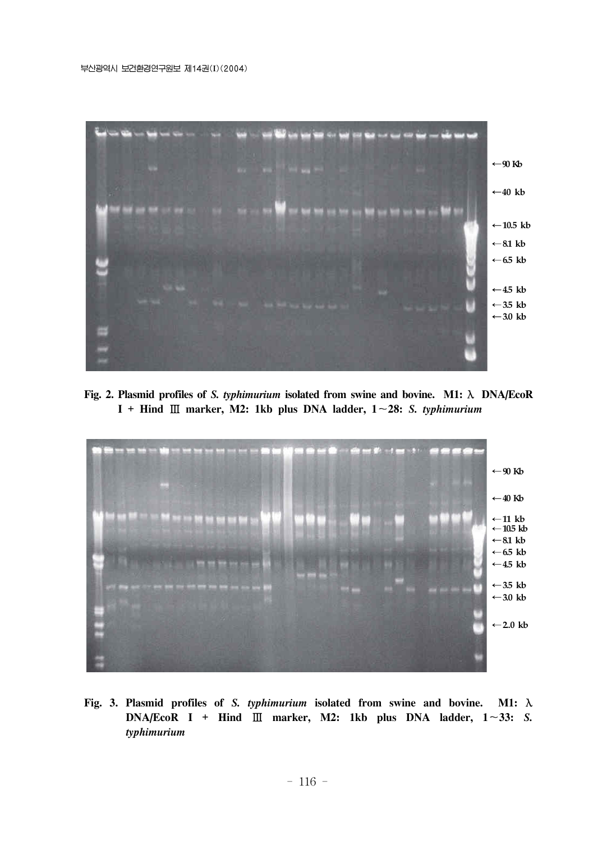

**Fig. 2. Plasmid profiles of** *S. typhimurium* **isolated from swine and bovine. M1:** λ **DNA/EcoR I + Hind** Ⅲ **marker, M2: 1kb plus DNA ladder, 1**~**28:** *S. typhimurium*



**Fig. 3. Plasmid profiles of** *S. typhimurium* **isolated from swine and bovine. M1:** λ **DNA/EcoR I + Hind** Ⅲ **marker, M2: 1kb plus DNA ladder, 1**~**33:** *S. typhimurium*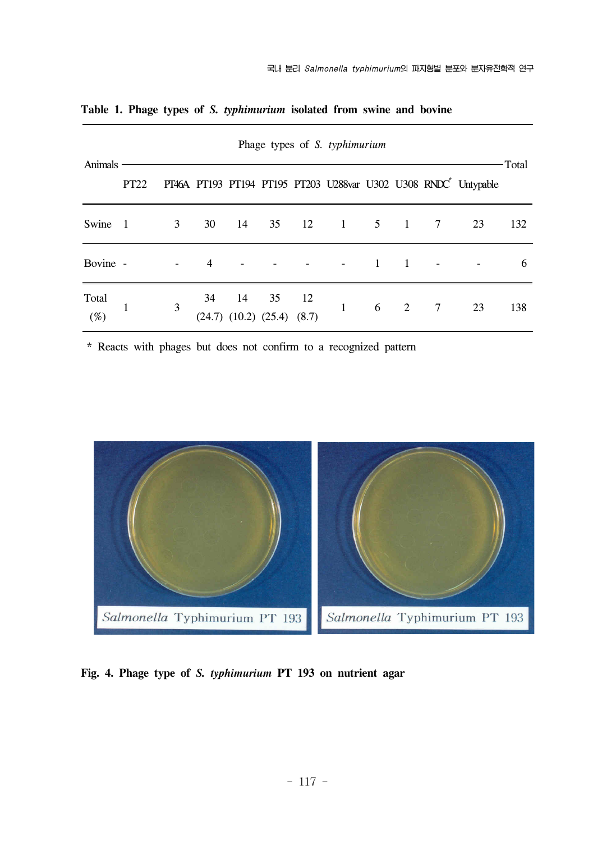| Animals         | Phage types of S. typhimurium |                |    |    |                                          |     |              |                     |                |                |                                                                             | -Total |
|-----------------|-------------------------------|----------------|----|----|------------------------------------------|-----|--------------|---------------------|----------------|----------------|-----------------------------------------------------------------------------|--------|
|                 | <b>PT22</b>                   |                |    |    |                                          |     |              |                     |                |                | PT46A PT193 PT194 PT195 PT203 U288var U302 U308 RNDC <sup>*</sup> Untypable |        |
| Swine           | - 1                           | 3 <sup>7</sup> | 30 | 14 | 35                                       | 12  |              | $1 \quad 5 \quad 1$ |                | $\overline{7}$ | 23                                                                          | 132    |
| Bovine -        |                               |                | 4  |    |                                          |     |              | $\blacksquare$      | $\overline{1}$ |                |                                                                             | 6      |
| Total<br>$(\%)$ |                               | 3              | 34 | 14 | 35<br>$(24.7)$ $(10.2)$ $(25.4)$ $(8.7)$ | -12 | $\mathbf{1}$ | 6                   | 2              | $\overline{7}$ | 23                                                                          | 138    |

**Table 1. Phage types of** *S. typhimurium* **isolated from swine and bovine**

\* Reacts with phages but does not confirm to a recognized pattern



**Fig. 4. Phage type of** *S. typhimurium* **PT 193 on nutrient agar**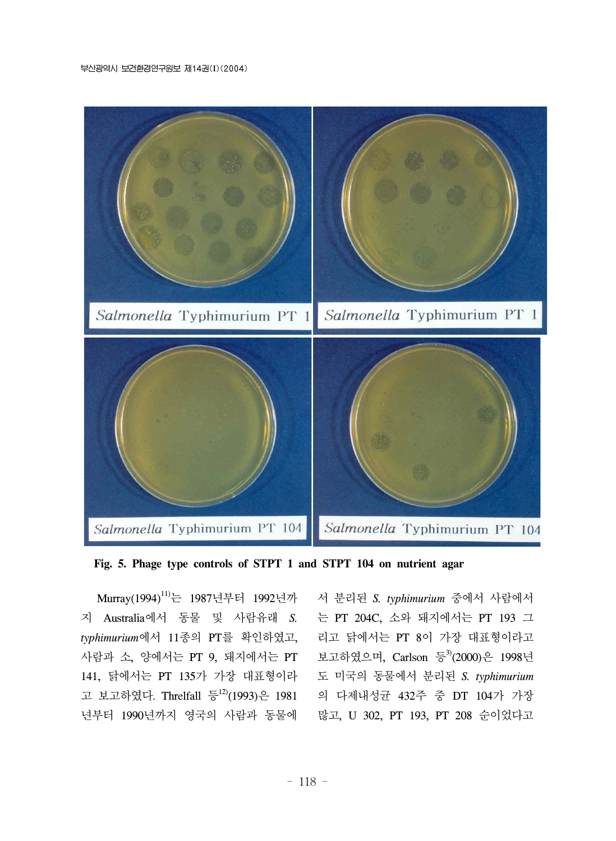



Murray(1994)<sup>11)</sup>는 1987년부터 1992년까 지 Australia에서 동물 및 사람유래 *S. typhimurium*에서 11종의 PT를 확인하였고, 사람과 소, 양에서는 PT 9, 돼지에서는 PT 141, 닭에서는 PT 135가 가장 대표형이라 고 보고하였다. Threlfall 등<sup>12)</sup>(1993)은 1981 년부터 1990년까지 영국의 사람과 동물에

서 분리된 *S. typhimurium* 중에서 사람에서 는 PT 204C, 소와 돼지에서는 PT 193 그 리고 닭에서는 PT 8이 가장 대표형이라고 보고하였으며, Carlson 등3(2000)은 1998년 도 미국의 동물에서 분리된 *S. typhimurium* 의 다제내성균 432주 중 DT 104가 가장 많고, U 302, PT 193, PT 208 순이었다고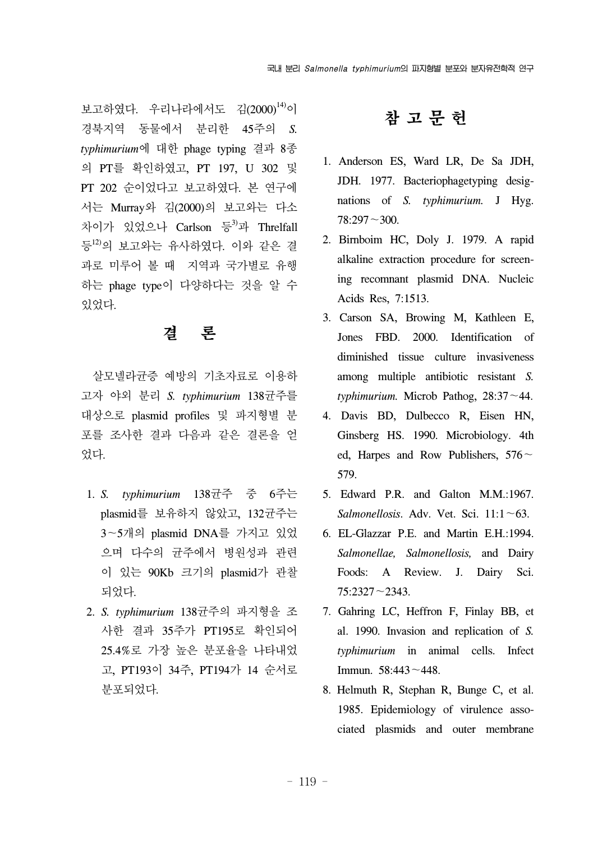보고하였다. 우리나라에서도 김(2000)<sup>14)</sup>이 경북지역 동물에서 분리한 45주의 *S. typhimurium*에 대한 phage typing 결과 8종 의 PT를 확인하였고, PT 197, U 302 및 PT 202 순이었다고 보고하였다. 본 연구에 서는 Murray와 김(2000)의 보고와는 다소 차이가 있었으나 Carlson 등<sup>3)</sup>과 Threlfall 등12)의 보고와는 유사하였다. 이와 같은 결 과로 미루어 볼 때 지역과 국가별로 유행 하는 phage type이 다양하다는 것을 알 수 있었다.

## 결 론

 살모넬라균증 예방의 기초자료로 이용하 고자 야외 분리 *S. typhimurium* 138균주를 대상으로 plasmid profiles 및 파지형별 분 포를 조사한 결과 다음과 같은 결론을 얻 었다.

- 1. *S. typhimurium* 138균주 중 6주는 plasmid를 보유하지 않았고, 132균주는 3~5개의 plasmid DNA를 가지고 있었 으며 다수의 균주에서 병원성과 관련 이 있는 90Kb 크기의 plasmid가 관찰 되었다.
- 2. *S. typhimurium* 138균주의 파지형을 조 사한 결과 35주가 PT195로 확인되어 25.4%로 가장 높은 분포율을 나타내었 고, PT193이 34주, PT194가 14 순서로 분포되었다.

## 참 고 문 헌

- 1. Anderson ES, Ward LR, De Sa JDH, JDH. 1977. Bacteriophagetyping designations of *S. typhimurium.* J Hyg. 78:297~300.
- 2. Birnboim HC, Doly J. 1979. A rapid alkaline extraction procedure for screening recomnant plasmid DNA. Nucleic Acids Res, 7:1513.
- 3. Carson SA, Browing M, Kathleen E, Jones FBD. 2000. Identification of diminished tissue culture invasiveness among multiple antibiotic resistant *S.*  $t$ *vphimurium.* Microb Pathog,  $28:37 \sim 44$ .
- 4. Davis BD, Dulbecco R, Eisen HN, Ginsberg HS. 1990. Microbiology. 4th ed, Harpes and Row Publishers,  $576 \sim$ 579.
- 5. Edward P.R. and Galton M.M.:1967. *Salmonellosis*. Adv. Vet. Sci. 11:1~63.
- 6. EL-Glazzar P.E. and Martin E.H.:1994. *Salmonellae, Salmonellosis,* and Dairy Foods: A Review. J. Dairy Sci. 75:2327~2343.
- 7. Gahring LC, Heffron F, Finlay BB, et al. 1990. Invasion and replication of *S. typhimurium* in animal cells. Infect Immun. 58:443~448.
- 8. Helmuth R, Stephan R, Bunge C, et al. 1985. Epidemiology of virulence associated plasmids and outer membrane